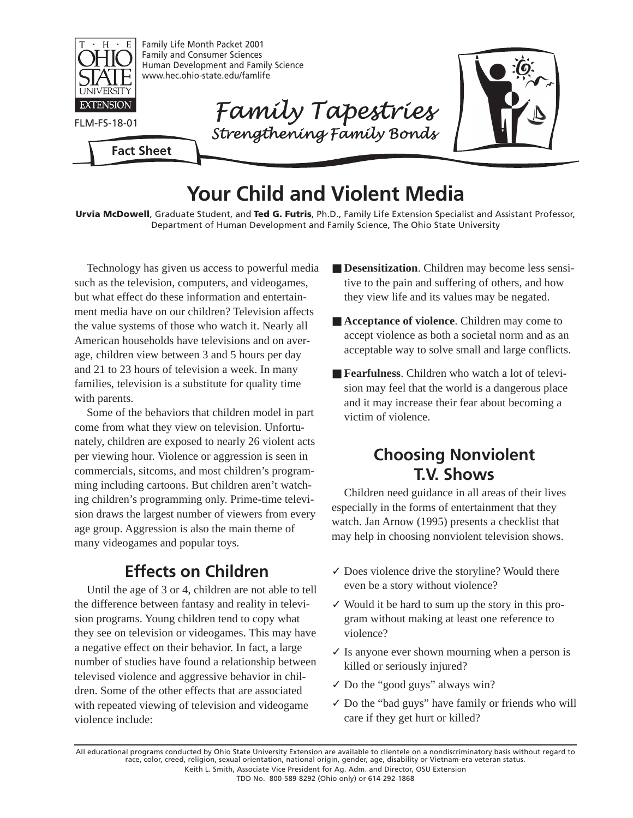

# **Your Child and Violent Media**

**Urvia McDowell**, Graduate Student, and **Ted G. Futris**, Ph.D., Family Life Extension Specialist and Assistant Professor, Department of Human Development and Family Science, The Ohio State University

Technology has given us access to powerful media such as the television, computers, and videogames, but what effect do these information and entertainment media have on our children? Television affects the value systems of those who watch it. Nearly all American households have televisions and on average, children view between 3 and 5 hours per day and 21 to 23 hours of television a week. In many families, television is a substitute for quality time with parents.

Some of the behaviors that children model in part come from what they view on television. Unfortunately, children are exposed to nearly 26 violent acts per viewing hour. Violence or aggression is seen in commercials, sitcoms, and most children's programming including cartoons. But children aren't watching children's programming only. Prime-time television draws the largest number of viewers from every age group. Aggression is also the main theme of many videogames and popular toys.

## **Effects on Children**

Until the age of 3 or 4, children are not able to tell the difference between fantasy and reality in television programs. Young children tend to copy what they see on television or videogames. This may have a negative effect on their behavior. In fact, a large number of studies have found a relationship between televised violence and aggressive behavior in children. Some of the other effects that are associated with repeated viewing of television and videogame violence include:

- **Desensitization**. Children may become less sensitive to the pain and suffering of others, and how they view life and its values may be negated.
- **Acceptance of violence**. Children may come to accept violence as both a societal norm and as an acceptable way to solve small and large conflicts.
- **Fearfulness**. Children who watch a lot of television may feel that the world is a dangerous place and it may increase their fear about becoming a victim of violence.

# **Choosing Nonviolent T.V. Shows**

Children need guidance in all areas of their lives especially in the forms of entertainment that they watch. Jan Arnow (1995) presents a checklist that may help in choosing nonviolent television shows.

- $\checkmark$  Does violence drive the storyline? Would there even be a story without violence?
- ✓ Would it be hard to sum up the story in this program without making at least one reference to violence?
- $\checkmark$  Is anyone ever shown mourning when a person is killed or seriously injured?
- $\checkmark$  Do the "good guys" always win?
- ✓ Do the "bad guys" have family or friends who will care if they get hurt or killed?

All educational programs conducted by Ohio State University Extension are available to clientele on a nondiscriminatory basis without regard to race, color, creed, religion, sexual orientation, national origin, gender, age, disability or Vietnam-era veteran status. Keith L. Smith, Associate Vice President for Ag. Adm. and Director, OSU Extension TDD No. 800-589-8292 (Ohio only) or 614-292-1868